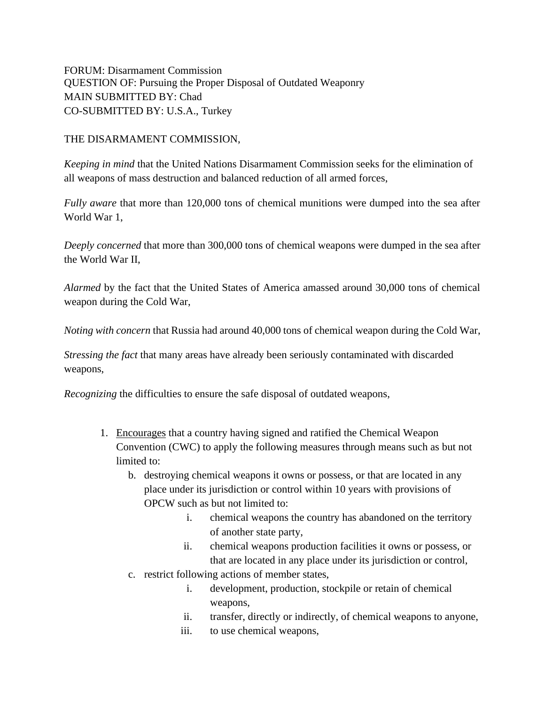FORUM: Disarmament Commission QUESTION OF: Pursuing the Proper Disposal of Outdated Weaponry MAIN SUBMITTED BY: Chad CO-SUBMITTED BY: U.S.A., Turkey

## THE DISARMAMENT COMMISSION,

*Keeping in mind* that the United Nations Disarmament Commission seeks for the elimination of all weapons of mass destruction and balanced reduction of all armed forces,

*Fully aware* that more than 120,000 tons of chemical munitions were dumped into the sea after World War 1,

*Deeply concerned* that more than 300,000 tons of chemical weapons were dumped in the sea after the World War II,

*Alarmed* by the fact that the United States of America amassed around 30,000 tons of chemical weapon during the Cold War,

*Noting with concern* that Russia had around 40,000 tons of chemical weapon during the Cold War,

*Stressing the fact* that many areas have already been seriously contaminated with discarded weapons,

*Recognizing* the difficulties to ensure the safe disposal of outdated weapons,

- 1. Encourages that a country having signed and ratified the Chemical Weapon Convention (CWC) to apply the following measures through means such as but not limited to:
	- b. destroying chemical weapons it owns or possess, or that are located in any place under its jurisdiction or control within 10 years with provisions of OPCW such as but not limited to:
		- i. chemical weapons the country has abandoned on the territory of another state party,
		- ii. chemical weapons production facilities it owns or possess, or that are located in any place under its jurisdiction or control,
	- c. restrict following actions of member states,
		- i. development, production, stockpile or retain of chemical weapons,
		- ii. transfer, directly or indirectly, of chemical weapons to anyone,
		- iii. to use chemical weapons,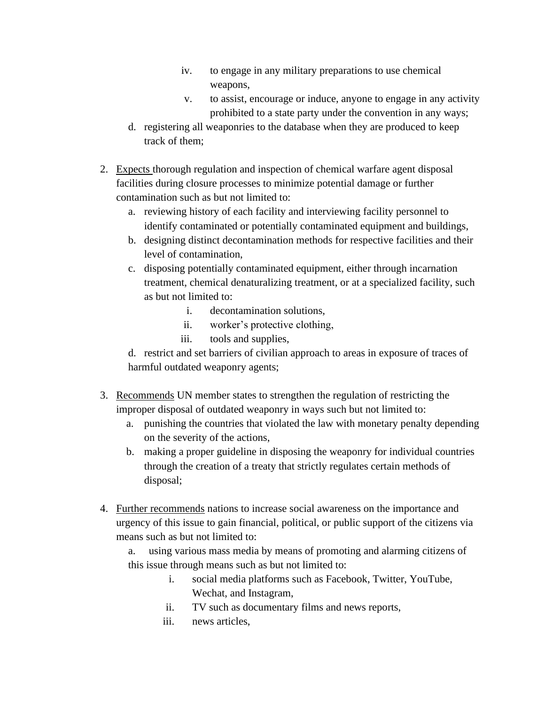- iv. to engage in any military preparations to use chemical weapons,
- v. to assist, encourage or induce, anyone to engage in any activity prohibited to a state party under the convention in any ways;
- d. registering all weaponries to the database when they are produced to keep track of them;
- 2. Expects thorough regulation and inspection of chemical warfare agent disposal facilities during closure processes to minimize potential damage or further contamination such as but not limited to:
	- a. reviewing history of each facility and interviewing facility personnel to identify contaminated or potentially contaminated equipment and buildings,
	- b. designing distinct decontamination methods for respective facilities and their level of contamination,
	- c. disposing potentially contaminated equipment, either through incarnation treatment, chemical denaturalizing treatment, or at a specialized facility, such as but not limited to:
		- i. decontamination solutions,
		- ii. worker's protective clothing,
		- iii. tools and supplies,

d. restrict and set barriers of civilian approach to areas in exposure of traces of harmful outdated weaponry agents;

- 3. Recommends UN member states to strengthen the regulation of restricting the improper disposal of outdated weaponry in ways such but not limited to:
	- a. punishing the countries that violated the law with monetary penalty depending on the severity of the actions,
	- b. making a proper guideline in disposing the weaponry for individual countries through the creation of a treaty that strictly regulates certain methods of disposal;
- 4. Further recommends nations to increase social awareness on the importance and urgency of this issue to gain financial, political, or public support of the citizens via means such as but not limited to:

a. using various mass media by means of promoting and alarming citizens of this issue through means such as but not limited to:

- i. social media platforms such as Facebook, Twitter, YouTube, Wechat, and Instagram,
- ii. TV such as documentary films and news reports,
- iii. news articles,